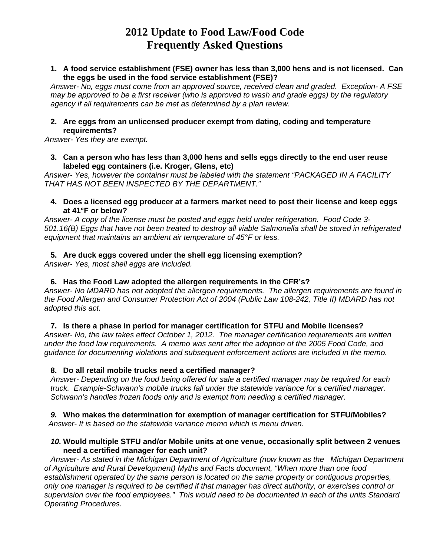**1. A food service establishment (FSE) owner has less than 3,000 hens and is not licensed. Can the eggs be used in the food service establishment (FSE)?** 

*Answer- No, eggs must come from an approved source, received clean and graded. Exception- A FSE may be approved to be a first receiver (who is approved to wash and grade eggs) by the regulatory agency if all requirements can be met as determined by a plan review.* 

# **2. Are eggs from an unlicensed producer exempt from dating, coding and temperature requirements?**

 *Answer- Yes they are exempt.* 

**3. Can a person who has less than 3,000 hens and sells eggs directly to the end user reuse labeled egg containers (i.e. Kroger, Glens, etc)** 

*Answer- Yes, however the container must be labeled with the statement "PACKAGED IN A FACILITY THAT HAS NOT BEEN INSPECTED BY THE DEPARTMENT."* 

#### **4. Does a licensed egg producer at a farmers market need to post their license and keep eggs at 41°F or below?**

*Answer- A copy of the license must be posted and eggs held under refrigeration. Food Code 3- 501.16(B) Eggs that have not been treated to destroy all viable Salmonella shall be stored in refrigerated equipment that maintains an ambient air temperature of 45°F or less.*

# **5. Are duck eggs covered under the shell egg licensing exemption?**

*Answer- Yes, most shell eggs are included.* 

# **6. Has the Food Law adopted the allergen requirements in the CFR's?**

*Answer- No MDARD has not adopted the allergen requirements. The allergen requirements are found in the Food Allergen and Consumer Protection Act of 2004 (Public Law 108-242, Title II) MDARD has not adopted this act.* 

# **7. Is there a phase in period for manager certification for STFU and Mobile licenses?**

*Answer- No, the law takes effect October 1, 2012. The manager certification requirements are written under the food law requirements. A memo was sent after the adoption of the 2005 Food Code, and guidance for documenting violations and subsequent enforcement actions are included in the memo.* 

# **8. Do all retail mobile trucks need a certified manager?**

*Answer- Depending on the food being offered for sale a certified manager may be required for each truck. Example-Schwann's mobile trucks fall under the statewide variance for a certified manager. Schwann's handles frozen foods only and is exempt from needing a certified manager.* 

*9.* **Who makes the determination for exemption of manager certification for STFU/Mobiles?**  *Answer- It is based on the statewide variance memo which is menu driven.* 

#### *10.* **Would multiple STFU and/or Mobile units at one venue, occasionally split between 2 venues need a certified manager for each unit?**

 *Answer- As stated in the Michigan Department of Agriculture (now known as the Michigan Department of Agriculture and Rural Development) Myths and Facts document, "When more than one food establishment operated by the same person is located on the same property or contiguous properties, only one manager is required to be certified if that manager has direct authority, or exercises control or supervision over the food employees." This would need to be documented in each of the units Standard Operating Procedures.*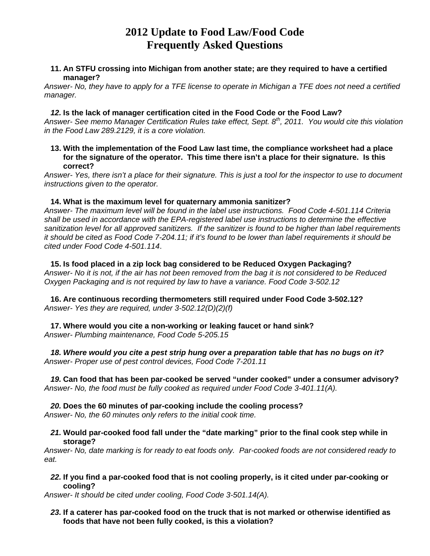#### **11. An STFU crossing into Michigan from another state; are they required to have a certified manager?**

*Answer- No, they have to apply for a TFE license to operate in Michigan a TFE does not need a certified manager.* 

#### *12.* **Is the lack of manager certification cited in the Food Code or the Food Law?**

*Answer- See memo Manager Certification Rules take effect, Sept. 8th, 2011. You would cite this violation in the Food Law 289.2129, it is a core violation.* 

#### **13. With the implementation of the Food Law last time, the compliance worksheet had a place for the signature of the operator. This time there isn't a place for their signature. Is this correct?**

*Answer- Yes, there isn't a place for their signature. This is just a tool for the inspector to use to document instructions given to the operator.* 

#### **14. What is the maximum level for quaternary ammonia sanitizer?**

*Answer- The maximum level will be found in the label use instructions. Food Code 4-501.114 Criteria shall be used in accordance with the EPA-registered label use instructions to determine the effective sanitization level for all approved sanitizers. If the sanitizer is found to be higher than label requirements it should be cited as Food Code 7-204.11; if it's found to be lower than label requirements it should be cited under Food Code 4-501.114*.

#### **15. Is food placed in a zip lock bag considered to be Reduced Oxygen Packaging?**  *Answer- No it is not, if the air has not been removed from the bag it is not considered to be Reduced Oxygen Packaging and is not required by law to have a variance. Food Code 3-502.12*

**16. Are continuous recording thermometers still required under Food Code 3-502.12?**  *Answer- Yes they are required, under 3-502.12(D)(2)(f)*

#### **17. Where would you cite a non-working or leaking faucet or hand sink?**  *Answer- Plumbing maintenance, Food Code 5-205.15*

*18. Where would you cite a pest strip hung over a preparation table that has no bugs on it? Answer- Proper use of pest control devices, Food Code 7-201.11* 

*19.* **Can food that has been par-cooked be served "under cooked" under a consumer advisory?** *Answer- No, the food must be fully cooked as required under Food Code 3-401.11(A).* 

# *20.* **Does the 60 minutes of par-cooking include the cooling process?**

*Answer- No, the 60 minutes only refers to the initial cook time.* 

#### *21.* **Would par-cooked food fall under the "date marking" prior to the final cook step while in storage?**

*Answer- No, date marking is for ready to eat foods only. Par-cooked foods are not considered ready to eat.* 

*22.* **If you find a par-cooked food that is not cooling properly, is it cited under par-cooking or cooling?**

*Answer- It should be cited under cooling, Food Code 3-501.14(A).* 

#### *23.* **If a caterer has par-cooked food on the truck that is not marked or otherwise identified as foods that have not been fully cooked, is this a violation?**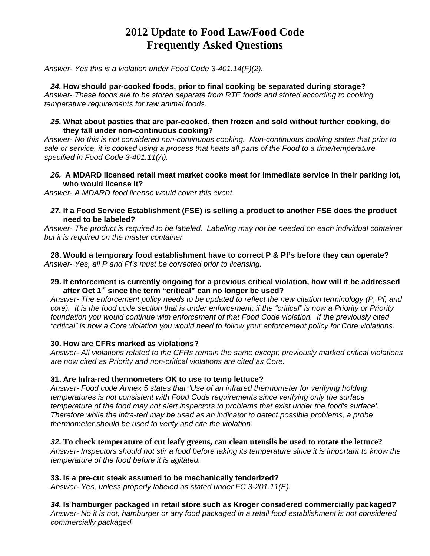*Answer- Yes this is a violation under Food Code 3-401.14(F)(2).* 

# *24.* **How should par-cooked foods, prior to final cooking be separated during storage?**

*Answer- These foods are to be stored separate from RTE foods and stored according to cooking temperature requirements for raw animal foods.* 

#### *25.* **What about pasties that are par-cooked, then frozen and sold without further cooking, do they fall under non-continuous cooking?**

*Answer- No this is not considered non-continuous cooking. Non-continuous cooking states that prior to sale or service, it is cooked using a process that heats all parts of the Food to a time/temperature specified in Food Code 3-401.11(A).* 

#### *26.* **A MDARD licensed retail meat market cooks meat for immediate service in their parking lot, who would license it?**

*Answer- A MDARD food license would cover this event.* 

### *27.* **If a Food Service Establishment (FSE) is selling a product to another FSE does the product need to be labeled?**

*Answer- The product is required to be labeled. Labeling may not be needed on each individual container but it is required on the master container.* 

**28. Would a temporary food establishment have to correct P & Pf's before they can operate?**  *Answer- Yes, all P and Pf's must be corrected prior to licensing.* 

#### **29. If enforcement is currently ongoing for a previous critical violation, how will it be addressed after Oct 1st since the term "critical" can no longer be used?**

*Answer- The enforcement policy needs to be updated to reflect the new citation terminology (P, Pf, and*  core). It is the food code section that is under enforcement; if the "critical" is now a Priority or Priority *foundation you would continue with enforcement of that Food Code violation. If the previously cited "critical" is now a Core violation you would need to follow your enforcement policy for Core violations.* 

# **30. How are CFRs marked as violations?**

*Answer- All violations related to the CFRs remain the same except; previously marked critical violations are now cited as Priority and non-critical violations are cited as Core.* 

# **31. Are Infra-red thermometers OK to use to temp lettuce?**

*Answer- Food code Annex 5 states that "Use of an infrared thermometer for verifying holding temperatures is not consistent with Food Code requirements since verifying only the surface temperature of the food may not alert inspectors to problems that exist under the food's surface'. Therefore while the infra-red may be used as an indicator to detect possible problems, a probe thermometer should be used to verify and cite the violation.* 

# *32.* **To check temperature of cut leafy greens, can clean utensils be used to rotate the lettuce?**

*Answer- Inspectors should not stir a food before taking its temperature since it is important to know the temperature of the food before it is agitated.* 

# **33. Is a pre-cut steak assumed to be mechanically tenderized?**

*Answer- Yes, unless properly labeled as stated under FC 3-201.11(E).* 

*34.* **Is hamburger packaged in retail store such as Kroger considered commercially packaged?** *Answer- No it is not, hamburger or any food packaged in a retail food establishment is not considered commercially packaged.*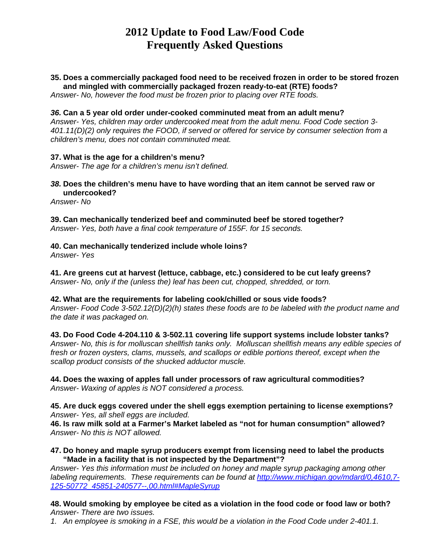# **35. Does a commercially packaged food need to be received frozen in order to be stored frozen and mingled with commercially packaged frozen ready-to-eat (RTE) foods?**

*Answer- No, however the food must be frozen prior to placing over RTE foods.* 

#### *36.* **Can a 5 year old order under-cooked comminuted meat from an adult menu?**

*Answer- Yes, children may order undercooked meat from the adult menu. Food Code section 3- 401.11(D)(2) only requires the FOOD, if served or offered for service by consumer selection from a children's menu, does not contain comminuted meat.* 

#### **37. What is the age for a children's menu?**

*Answer- The age for a children's menu isn't defined.* 

*38.* **Does the children's menu have to have wording that an item cannot be served raw or undercooked?**

*Answer- No* 

**39. Can mechanically tenderized beef and comminuted beef be stored together?**  *Answer- Yes, both have a final cook temperature of 155F. for 15 seconds.* 

# **40. Can mechanically tenderized include whole loins?**

*Answer- Yes* 

**41. Are greens cut at harvest (lettuce, cabbage, etc.) considered to be cut leafy greens?**  *Answer- No, only if the (unless the) leaf has been cut, chopped, shredded, or torn.* 

#### **42. What are the requirements for labeling cook/chilled or sous vide foods?**

*Answer- Food Code 3-502.12(D)(2)(h) states these foods are to be labeled with the product name and the date it was packaged on.* 

**43. Do Food Code 4-204.110 & 3-502.11 covering life support systems include lobster tanks?**  *Answer- No, this is for molluscan shellfish tanks only. Molluscan shellfish means any edible species of fresh or frozen oysters, clams, mussels, and scallops or edible portions thereof, except when the scallop product consists of the shucked adductor muscle.* 

**44. Does the waxing of apples fall under processors of raw agricultural commodities?**  *Answer- Waxing of apples is NOT considered a process.* 

**45. Are duck eggs covered under the shell eggs exemption pertaining to license exemptions?**  *Answer- Yes, all shell eggs are included.* 

**46. Is raw milk sold at a Farmer's Market labeled as "not for human consumption" allowed?**  *Answer- No this is NOT allowed.* 

**47. Do honey and maple syrup producers exempt from licensing need to label the products "Made in a facility that is not inspected by the Department"?** 

*Answer- Yes this information must be included on honey and maple syrup packaging among other labeling requirements. These requirements can be found at http://www.michigan.gov/mdard/0,4610,7- 125-50772\_45851-240577--,00.html#MapleSyrup* 

**48. Would smoking by employee be cited as a violation in the food code or food law or both?**  *Answer- There are two issues.* 

*1. An employee is smoking in a FSE, this would be a violation in the Food Code under 2-401.1.*